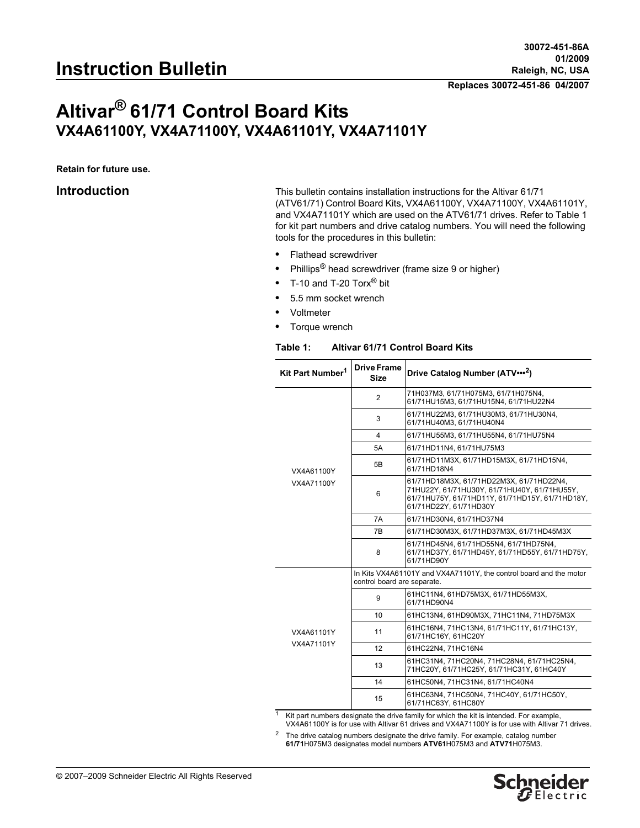**Replaces 30072-451-86 04/2007**

## **Altivar® 61/71 Control Board Kits VX4A61100Y, VX4A71100Y, VX4A61101Y, VX4A71101Y**

**Retain for future use.**

**Introduction** This bulletin contains installation instructions for the Altivar 61/71 (ATV61/71) Control Board Kits, VX4A61100Y, VX4A71100Y, VX4A61101Y, and VX4A71101Y which are used on the ATV61/71 drives. Refer to Table 1 for kit part numbers and drive catalog numbers. You will need the following tools for the procedures in this bulletin:

- Flathead screwdriver
- Phillips<sup>®</sup> head screwdriver (frame size 9 or higher)
- T-10 and T-20  $T$ orx<sup>®</sup> bit
- 5.5 mm socket wrench
- Voltmeter
- Torque wrench

#### **Table 1: Altivar 61/71 Control Board Kits**

| Kit Part Number <sup>1</sup> | <b>Drive Frame</b><br><b>Size</b>                                                                 | Drive Catalog Number (ATV ··· <sup>2</sup> )                                                                                                                          |
|------------------------------|---------------------------------------------------------------------------------------------------|-----------------------------------------------------------------------------------------------------------------------------------------------------------------------|
| VX4A61100Y<br>VX4A71100Y     | $\overline{2}$                                                                                    | 71H037M3, 61/71H075M3, 61/71H075N4,<br>61/71HU15M3, 61/71HU15N4, 61/71HU22N4                                                                                          |
|                              | 3                                                                                                 | 61/71HU22M3, 61/71HU30M3, 61/71HU30N4,<br>61/71HU40M3, 61/71HU40N4                                                                                                    |
|                              | 4                                                                                                 | 61/71HU55M3. 61/71HU55N4. 61/71HU75N4                                                                                                                                 |
|                              | 5A                                                                                                | 61/71HD11N4. 61/71HU75M3                                                                                                                                              |
|                              | 5B                                                                                                | 61/71HD11M3X, 61/71HD15M3X, 61/71HD15N4,<br>61/71HD18N4                                                                                                               |
|                              | 6                                                                                                 | 61/71HD18M3X, 61/71HD22M3X, 61/71HD22N4,<br>71HU22Y, 61/71HU30Y, 61/71HU40Y, 61/71HU55Y,<br>61/71HU75Y, 61/71HD11Y, 61/71HD15Y, 61/71HD18Y,<br>61/71HD22Y, 61/71HD30Y |
|                              | 7A                                                                                                | 61/71HD30N4, 61/71HD37N4                                                                                                                                              |
|                              | 7B                                                                                                | 61/71HD30M3X, 61/71HD37M3X, 61/71HD45M3X                                                                                                                              |
|                              | 8                                                                                                 | 61/71HD45N4, 61/71HD55N4, 61/71HD75N4,<br>61/71HD37Y, 61/71HD45Y, 61/71HD55Y, 61/71HD75Y,<br>61/71HD90Y                                                               |
|                              | In Kits VX4A61101Y and VX4A71101Y, the control board and the motor<br>control board are separate. |                                                                                                                                                                       |
| VX4A61101Y<br>VX4A71101Y     | 9                                                                                                 | 61HC11N4, 61HD75M3X, 61/71HD55M3X,<br>61/71HD90N4                                                                                                                     |
|                              | 10                                                                                                | 61HC13N4, 61HD90M3X, 71HC11N4, 71HD75M3X                                                                                                                              |
|                              | 11                                                                                                | 61HC16N4, 71HC13N4, 61/71HC11Y, 61/71HC13Y,<br>61/71HC16Y, 61HC20Y                                                                                                    |
|                              | 12                                                                                                | 61HC22N4, 71HC16N4                                                                                                                                                    |
|                              | 13                                                                                                | 61HC31N4, 71HC20N4, 71HC28N4, 61/71HC25N4,<br>71HC20Y. 61/71HC25Y. 61/71HC31Y. 61HC40Y                                                                                |
|                              | 14                                                                                                | 61HC50N4, 71HC31N4, 61/71HC40N4                                                                                                                                       |
|                              | 15                                                                                                | 61HC63N4, 71HC50N4, 71HC40Y, 61/71HC50Y,<br>61/71HC63Y, 61HC80Y                                                                                                       |

 $\frac{1}{1}$  Kit part numbers designate the drive family for which the kit is intended. For example, VX4A61100Y is for use with Altivar 61 drives and VX4A71100Y is for use with Altivar 71 drives.

<sup>2</sup> The drive catalog numbers designate the drive family. For example, catalog number **61/71**H075M3 designates model numbers **ATV61**H075M3 and **ATV71**H075M3.

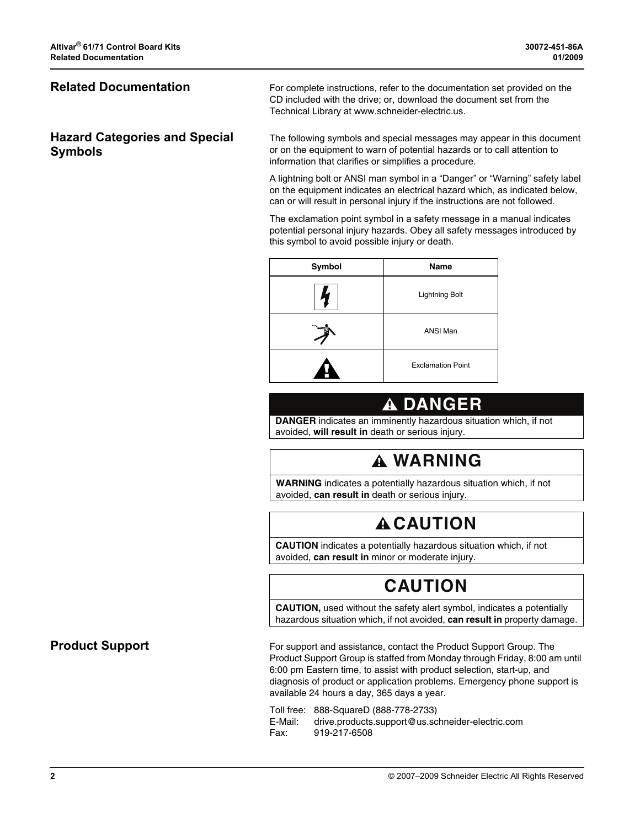## **Hazard Categories and Special Symbols**

**Related Documentation** For complete instructions, refer to the documentation set provided on the CD included with the drive; or, download the document set from the Technical Library at www.schneider-electric.us.

> The following symbols and special messages may appear in this document or on the equipment to warn of potential hazards or to call attention to information that clarifies or simplifies a procedure.

> A lightning bolt or ANSI man symbol in a "Danger" or "Warning" safety label on the equipment indicates an electrical hazard which, as indicated below, can or will result in personal injury if the instructions are not followed.

The exclamation point symbol in a safety message in a manual indicates potential personal injury hazards. Obey all safety messages introduced by this symbol to avoid possible injury or death.

| Symbol | <b>Name</b>              |
|--------|--------------------------|
|        | <b>Lightning Bolt</b>    |
|        | ANSI Man                 |
|        | <b>Exclamation Point</b> |

## **DANGER**

**DANGER** indicates an imminently hazardous situation which, if not avoided, **will result in** death or serious injury.

# **WARNING**

**WARNING** indicates a potentially hazardous situation which, if not avoided, **can result in** death or serious injury.

# **A CAUTION**

**CAUTION** indicates a potentially hazardous situation which, if not avoided, **can result in** minor or moderate injury.

# **CAUTION**

**CAUTION,** used without the safety alert symbol, indicates a potentially hazardous situation which, if not avoided, **can result in** property damage.

**Product Support** For support and assistance, contact the Product Support Group. The Product Support Group is staffed from Monday through Friday, 8:00 am until 6:00 pm Eastern time, to assist with product selection, start-up, and diagnosis of product or application problems. Emergency phone support is available 24 hours a day, 365 days a year.

> Toll free: 888-SquareD (888-778-2733) E-Mail: drive.products.support@us.schneider-electric.com Fax: 919-217-6508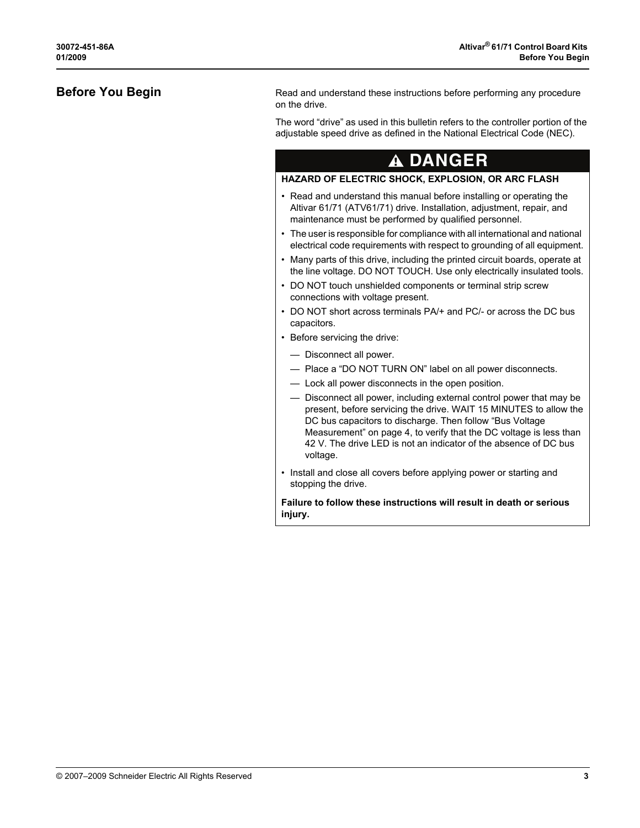**Before You Begin** Read and understand these instructions before performing any procedure on the drive.

> The word "drive" as used in this bulletin refers to the controller portion of the adjustable speed drive as defined in the National Electrical Code (NEC).

## **DANGER**

#### **HAZARD OF ELECTRIC SHOCK, EXPLOSION, OR ARC FLASH**

- Read and understand this manual before installing or operating the Altivar 61/71 (ATV61/71) drive. Installation, adjustment, repair, and maintenance must be performed by qualified personnel.
- The user is responsible for compliance with all international and national electrical code requirements with respect to grounding of all equipment.
- Many parts of this drive, including the printed circuit boards, operate at the line voltage. DO NOT TOUCH. Use only electrically insulated tools.
- DO NOT touch unshielded components or terminal strip screw connections with voltage present.
- DO NOT short across terminals PA/+ and PC/- or across the DC bus capacitors.
- Before servicing the drive:
	- Disconnect all power.
	- Place a "DO NOT TURN ON" label on all power disconnects.
	- Lock all power disconnects in the open position.
	- Disconnect all power, including external control power that may be present, before servicing the drive. WAIT 15 MINUTES to allow the DC bus capacitors to discharge. Then follow "Bus Voltage Measurement" on page 4, to verify that the DC voltage is less than 42 V. The drive LED is not an indicator of the absence of DC bus voltage.
- Install and close all covers before applying power or starting and stopping the drive.

**Failure to follow these instructions will result in death or serious injury.**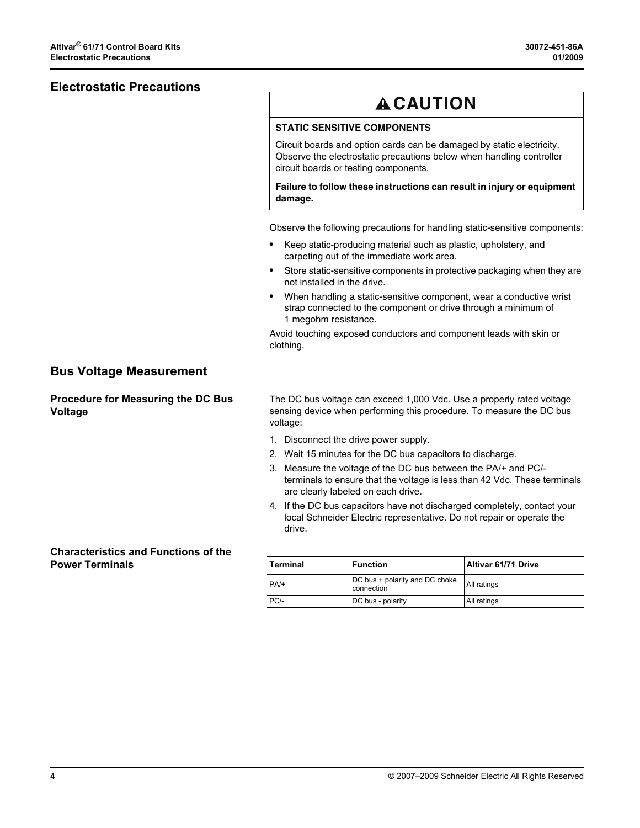## **Electrostatic Precautions**

# **A CAUTION**

### **STATIC SENSITIVE COMPONENTS**

Circuit boards and option cards can be damaged by static electricity. Observe the electrostatic precautions below when handling controller circuit boards or testing components.

**Failure to follow these instructions can result in injury or equipment damage.**

Observe the following precautions for handling static-sensitive components:

- Keep static-producing material such as plastic, upholstery, and carpeting out of the immediate work area.
- Store static-sensitive components in protective packaging when they are not installed in the drive.
- When handling a static-sensitive component, wear a conductive wrist strap connected to the component or drive through a minimum of 1 megohm resistance.

Avoid touching exposed conductors and component leads with skin or clothing.

## **Bus Voltage Measurement**

**Procedure for Measuring the DC Bus Voltage**

The DC bus voltage can exceed 1,000 Vdc. Use a properly rated voltage sensing device when performing this procedure. To measure the DC bus voltage:

- 1. Disconnect the drive power supply.
- 2. Wait 15 minutes for the DC bus capacitors to discharge.
- 3. Measure the voltage of the DC bus between the PA/+ and PC/ terminals to ensure that the voltage is less than 42 Vdc. These terminals are clearly labeled on each drive.
- 4. If the DC bus capacitors have not discharged completely, contact your local Schneider Electric representative. Do not repair or operate the drive.

#### **Characteristics and Functions of the Power Terminals**

| <b>Terminal</b> | <b>Function</b>                              | <b>Altivar 61/71 Drive</b> |
|-----------------|----------------------------------------------|----------------------------|
| $PA/+$          | DC bus + polarity and DC choke<br>connection | All ratings                |
| $PC/-$          | DC bus - polarity                            | All ratings                |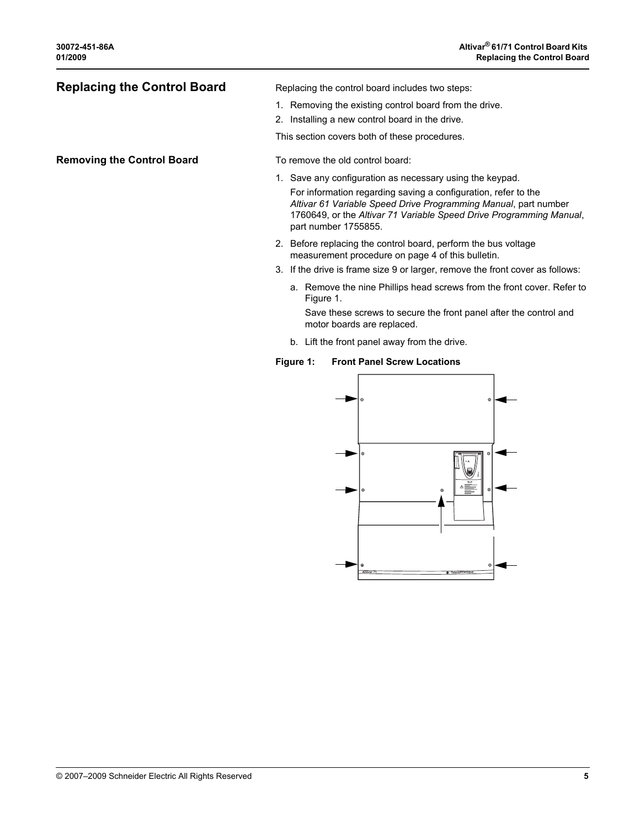| <b>Replacing the Control Board</b> | Replacing the control board includes two steps:                                                                                                                                                                                  |
|------------------------------------|----------------------------------------------------------------------------------------------------------------------------------------------------------------------------------------------------------------------------------|
|                                    | 1. Removing the existing control board from the drive.                                                                                                                                                                           |
|                                    | 2. Installing a new control board in the drive.                                                                                                                                                                                  |
|                                    | This section covers both of these procedures.                                                                                                                                                                                    |
| <b>Removing the Control Board</b>  | To remove the old control board:                                                                                                                                                                                                 |
|                                    | 1. Save any configuration as necessary using the keypad.                                                                                                                                                                         |
|                                    | For information regarding saving a configuration, refer to the<br>Altivar 61 Variable Speed Drive Programming Manual, part number<br>1760649, or the Altivar 71 Variable Speed Drive Programming Manual,<br>part number 1755855. |
|                                    | 2. Before replacing the control board, perform the bus voltage<br>measurement procedure on page 4 of this bulletin.                                                                                                              |
|                                    | 3. If the drive is frame size 9 or larger, remove the front cover as follows:                                                                                                                                                    |
|                                    | a. Remove the nine Phillips head screws from the front cover. Refer to<br>Figure 1.                                                                                                                                              |
|                                    | Save these screws to secure the front panel after the control and<br>motor boards are replaced.                                                                                                                                  |
|                                    | b. Lift the front panel away from the drive.                                                                                                                                                                                     |
|                                    | <b>Front Panel Screw Locations</b><br>Figure 1:                                                                                                                                                                                  |
|                                    |                                                                                                                                                                                                                                  |

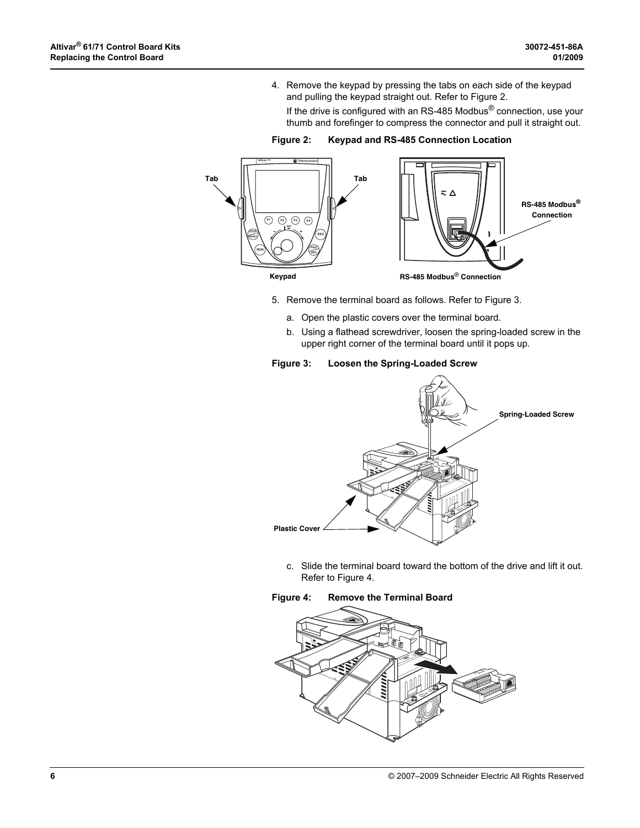4. Remove the keypad by pressing the tabs on each side of the keypad and pulling the keypad straight out. Refer to Figure 2.

If the drive is configured with an RS-485 Modbus® connection, use your thumb and forefinger to compress the connector and pull it straight out.



#### **Figure 2: Keypad and RS-485 Connection Location**

- 5. Remove the terminal board as follows. Refer to Figure 3.
	- a. Open the plastic covers over the terminal board.
	- b. Using a flathead screwdriver, loosen the spring-loaded screw in the upper right corner of the terminal board until it pops up.



**Figure 3: Loosen the Spring-Loaded Screw**

c. Slide the terminal board toward the bottom of the drive and lift it out. Refer to Figure 4.



## **Figure 4: Remove the Terminal Board**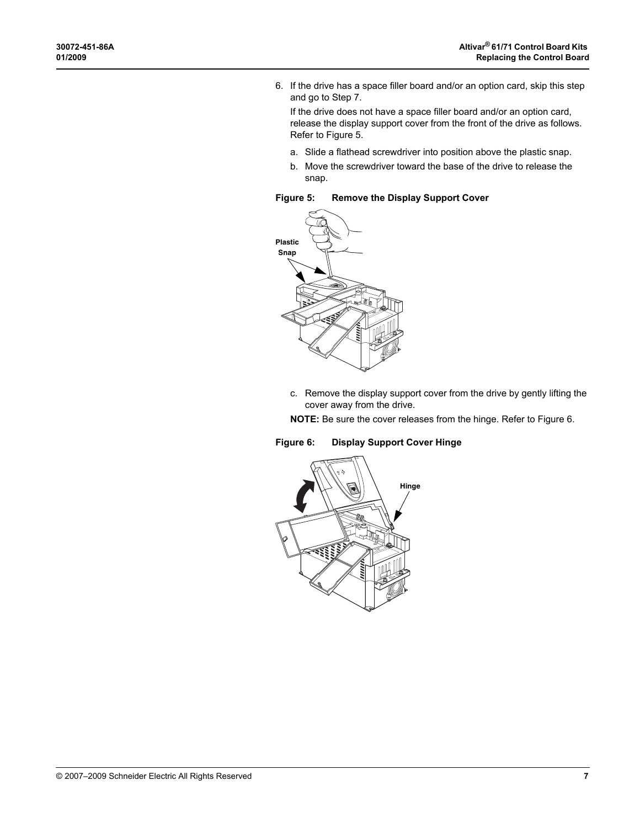6. If the drive has a space filler board and/or an option card, skip this step and go to Step 7.

If the drive does not have a space filler board and/or an option card, release the display support cover from the front of the drive as follows. Refer to Figure 5.

- a. Slide a flathead screwdriver into position above the plastic snap.
- b. Move the screwdriver toward the base of the drive to release the snap.





c. Remove the display support cover from the drive by gently lifting the cover away from the drive.

**NOTE:** Be sure the cover releases from the hinge. Refer to Figure 6.



#### © 2007–2009 Schneider Electric All Rights Reserved **7**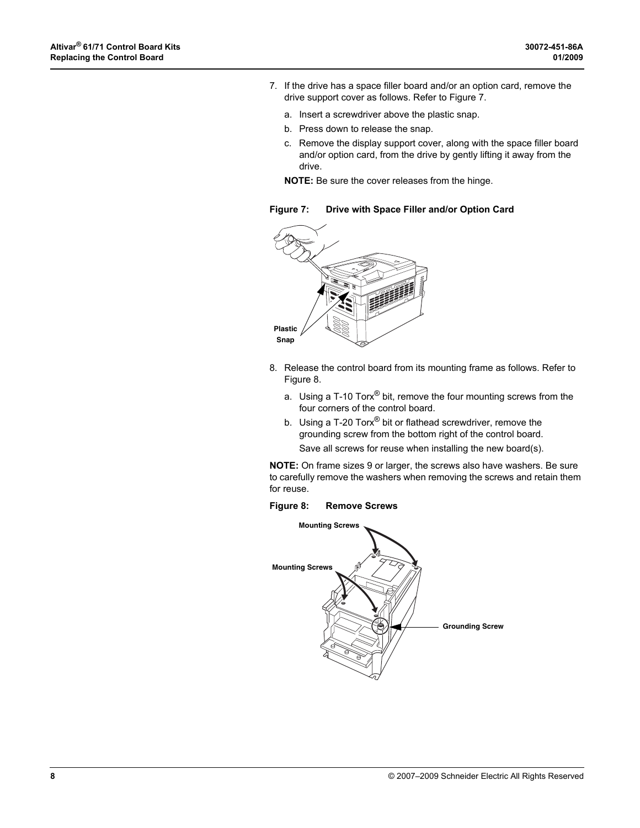- 7. If the drive has a space filler board and/or an option card, remove the drive support cover as follows. Refer to Figure 7.
	- a. Insert a screwdriver above the plastic snap.
	- b. Press down to release the snap.
	- c. Remove the display support cover, along with the space filler board and/or option card, from the drive by gently lifting it away from the drive.

**NOTE:** Be sure the cover releases from the hinge.

**Figure 7: Drive with Space Filler and/or Option Card** 

# **Plastic Snap**

- 8. Release the control board from its mounting frame as follows. Refer to Figure 8.
	- a. Using a T-10 Torx<sup>®</sup> bit, remove the four mounting screws from the four corners of the control board.
	- b. Using a T-20 Torx<sup>®</sup> bit or flathead screwdriver, remove the grounding screw from the bottom right of the control board. Save all screws for reuse when installing the new board(s).

**NOTE:** On frame sizes 9 or larger, the screws also have washers. Be sure to carefully remove the washers when removing the screws and retain them for reuse.

#### **Figure 8: Remove Screws**

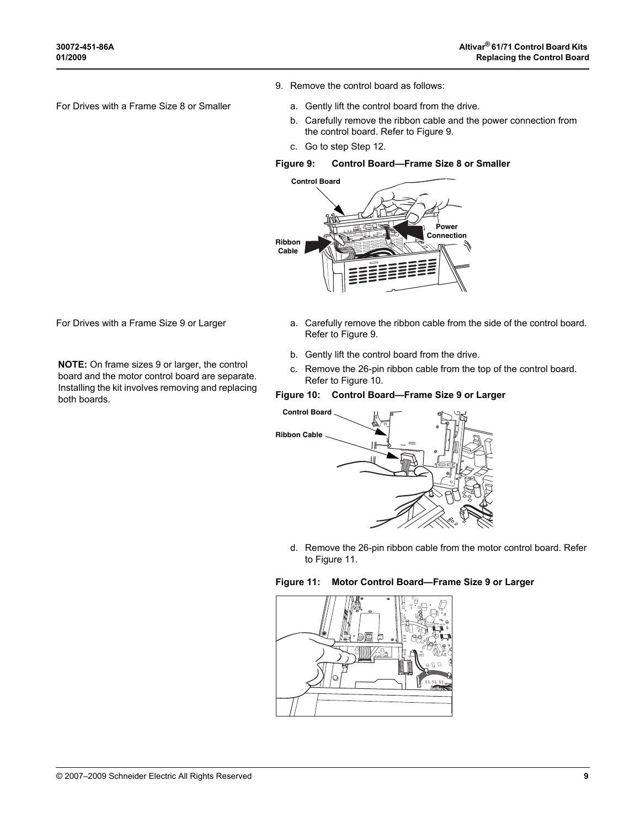- 
- 9. Remove the control board as follows:
- For Drives with a Frame Size 8 or Smaller a. Gently lift the control board from the drive.
	- b. Carefully remove the ribbon cable and the power connection from the control board. Refer to Figure 9.
	- c. Go to step Step 12.

#### **Figure 9: Control Board—Frame Size 8 or Smaller**



- For Drives with a Frame Size 9 or Larger a. Carefully remove the ribbon cable from the side of the control board. Refer to Figure 9.
	- b. Gently lift the control board from the drive.
	- c. Remove the 26-pin ribbon cable from the top of the control board. Refer to Figure 10.

#### **Figure 10: Control Board—Frame Size 9 or Larger**



d. Remove the 26-pin ribbon cable from the motor control board. Refer to Figure 11.

#### **Figure 11: Motor Control Board—Frame Size 9 or Larger**



**NOTE:** On frame sizes 9 or larger, the control board and the motor control board are separate. Installing the kit involves removing and replacing both boards.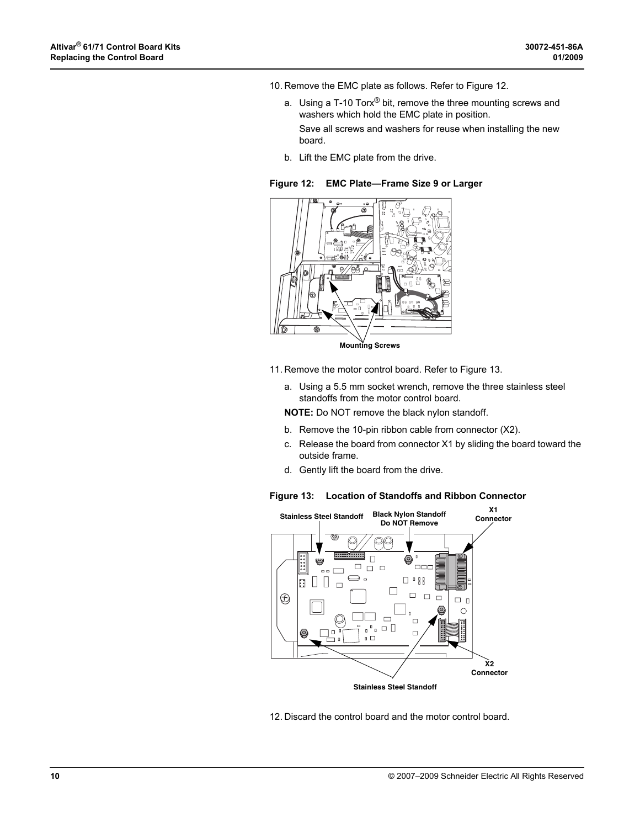10. Remove the EMC plate as follows. Refer to Figure 12.

a. Using a T-10 Torx<sup>®</sup> bit, remove the three mounting screws and washers which hold the EMC plate in position.

Save all screws and washers for reuse when installing the new board.

b. Lift the EMC plate from the drive.





11. Remove the motor control board. Refer to Figure 13.

a. Using a 5.5 mm socket wrench, remove the three stainless steel standoffs from the motor control board.

**NOTE:** Do NOT remove the black nylon standoff.

- b. Remove the 10-pin ribbon cable from connector (X2).
- c. Release the board from connector X1 by sliding the board toward the outside frame.
- d. Gently lift the board from the drive.

#### **Figure 13: Location of Standoffs and Ribbon Connector**



12. Discard the control board and the motor control board.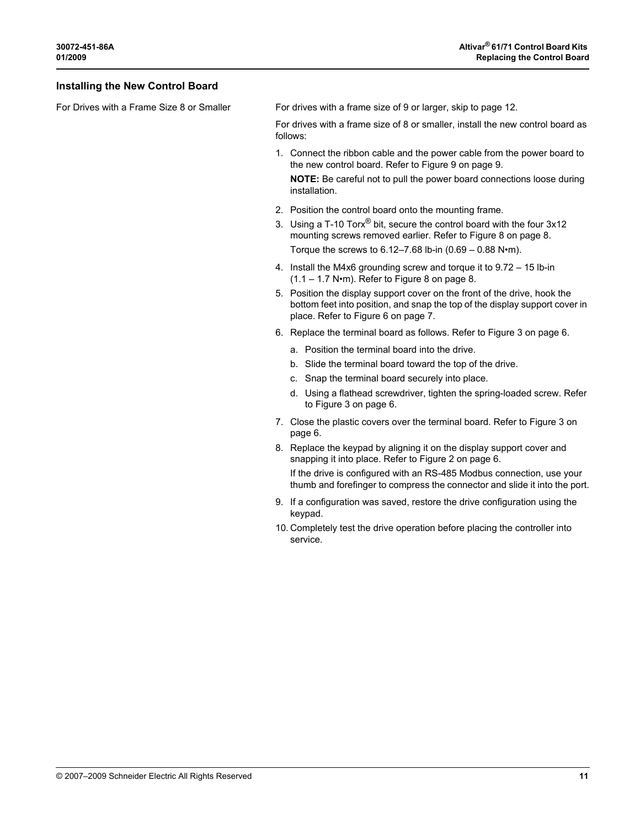#### **Installing the New Control Board**

For Drives with a Frame Size 8 or Smaller For drives with a frame size of 9 or larger, skip to page 12.

For drives with a frame size of 8 or smaller, install the new control board as follows:

- 1. Connect the ribbon cable and the power cable from the power board to the new control board. Refer to Figure 9 on page 9. **NOTE:** Be careful not to pull the power board connections loose during installation.
- 2. Position the control board onto the mounting frame.
- 3. Using a T-10 Torx<sup>®</sup> bit, secure the control board with the four  $3x12$ mounting screws removed earlier. Refer to Figure 8 on page 8. Torque the screws to  $6.12 - 7.68$  lb-in  $(0.69 - 0.88$  N $\cdot$ m).
- 4. Install the M4x6 grounding screw and torque it to 9.72 15 lb-in  $(1.1 - 1.7 \text{ N} \cdot \text{m})$ . Refer to Figure 8 on page 8.
- 5. Position the display support cover on the front of the drive, hook the bottom feet into position, and snap the top of the display support cover in place. Refer to Figure 6 on page 7.
- 6. Replace the terminal board as follows. Refer to Figure 3 on page 6.
	- a. Position the terminal board into the drive.
	- b. Slide the terminal board toward the top of the drive.
	- c. Snap the terminal board securely into place.
	- d. Using a flathead screwdriver, tighten the spring-loaded screw. Refer to Figure 3 on page 6.
- 7. Close the plastic covers over the terminal board. Refer to Figure 3 on page 6.
- 8. Replace the keypad by aligning it on the display support cover and snapping it into place. Refer to Figure 2 on page 6. If the drive is configured with an RS-485 Modbus connection, use your thumb and forefinger to compress the connector and slide it into the port.
- 9. If a configuration was saved, restore the drive configuration using the keypad.
- 10. Completely test the drive operation before placing the controller into service.